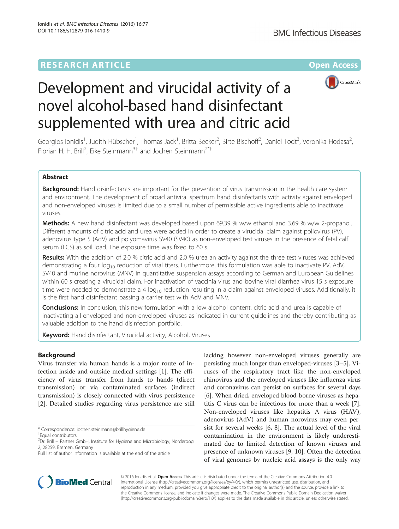## **RESEARCH ARTICLE External Structure Community Community Community Community Community Community Community Community**



# Development and virucidal activity of a novel alcohol-based hand disinfectant supplemented with urea and citric acid

Georgios Ionidis<sup>1</sup>, Judith Hübscher<sup>1</sup>, Thomas Jack<sup>1</sup>, Britta Becker<sup>2</sup>, Birte Bischoff<sup>2</sup>, Daniel Todt<sup>3</sup>, Veronika Hodasa<sup>2</sup> .<br>, Florian H. H. Brill<sup>2</sup>, Eike Steinmann<sup>3†</sup> and Jochen Steinmann<sup>2\*†</sup>

## Abstract

Background: Hand disinfectants are important for the prevention of virus transmission in the health care system and environment. The development of broad antiviral spectrum hand disinfectants with activity against enveloped and non-enveloped viruses is limited due to a small number of permissible active ingredients able to inactivate viruses.

Methods: A new hand disinfectant was developed based upon 69.39 % w/w ethanol and 3.69 % w/w 2-propanol. Different amounts of citric acid and urea were added in order to create a virucidal claim against poliovirus (PV), adenovirus type 5 (AdV) and polyomavirus SV40 (SV40) as non-enveloped test viruses in the presence of fetal calf serum (FCS) as soil load. The exposure time was fixed to 60 s.

Results: With the addition of 2.0 % citric acid and 2.0 % urea an activity against the three test viruses was achieved demonstrating a four log<sub>10</sub> reduction of viral titers. Furthermore, this formulation was able to inactivate PV, AdV, SV40 and murine norovirus (MNV) in quantitative suspension assays according to German and European Guidelines within 60 s creating a virucidal claim. For inactivation of vaccinia virus and bovine viral diarrhea virus 15 s exposure time were needed to demonstrate a 4  $log_{10}$  reduction resulting in a claim against enveloped viruses. Additionally, it is the first hand disinfectant passing a carrier test with AdV and MNV.

**Conclusions:** In conclusion, this new formulation with a low alcohol content, citric acid and urea is capable of inactivating all enveloped and non-enveloped viruses as indicated in current guidelines and thereby contributing as valuable addition to the hand disinfection portfolio.

Keyword: Hand disinfectant, Virucidal activity, Alcohol, Viruses

## Background

Virus transfer via human hands is a major route of infection inside and outside medical settings [[1\]](#page-8-0). The efficiency of virus transfer from hands to hands (direct transmission) or via contaminated surfaces (indirect transmission) is closely connected with virus persistence [[2\]](#page-8-0). Detailed studies regarding virus persistence are still

lacking however non-enveloped viruses generally are persisting much longer than enveloped-viruses [[3](#page-8-0)–[5](#page-8-0)]. Viruses of the respiratory tract like the non-enveloped rhinovirus and the enveloped viruses like influenza virus and coronavirus can persist on surfaces for several days [[6\]](#page-8-0). When dried, enveloped blood-borne viruses as hepatitis C virus can be infectious for more than a week [\[7](#page-8-0)]. Non-enveloped viruses like hepatitis A virus (HAV), adenovirus (AdV) and human norovirus may even persist for several weeks [\[6](#page-8-0), [8\]](#page-8-0). The actual level of the viral contamination in the environment is likely underestimated due to limited detection of known viruses and presence of unknown viruses [[9, 10\]](#page-8-0). Often the detection of viral genomes by nucleic acid assays is the only way



© 2016 Ionidis et al. Open Access This article is distributed under the terms of the Creative Commons Attribution 4.0 International License [\(http://creativecommons.org/licenses/by/4.0/](http://creativecommons.org/licenses/by/4.0/)), which permits unrestricted use, distribution, and reproduction in any medium, provided you give appropriate credit to the original author(s) and the source, provide a link to the Creative Commons license, and indicate if changes were made. The Creative Commons Public Domain Dedication waiver [\(http://creativecommons.org/publicdomain/zero/1.0/](http://creativecommons.org/publicdomain/zero/1.0/)) applies to the data made available in this article, unless otherwise stated.

<sup>\*</sup> Correspondence: [jochen.steinmann@brillhygiene.de](mailto:jochen.steinmann@brillhygiene.de) †

Equal contributors

<sup>2</sup> Dr. Brill + Partner GmbH, Institute for Hygiene and Microbiology, Norderoog 2, 28259, Bremen, Germany

Full list of author information is available at the end of the article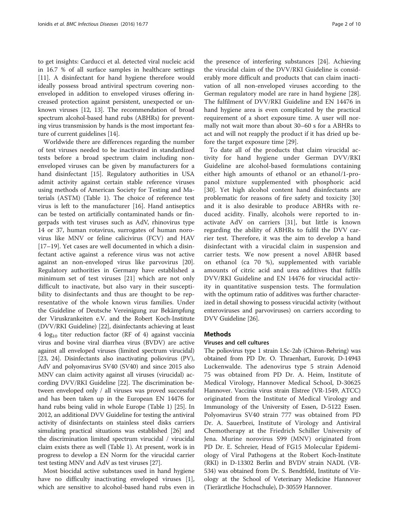to get insights: Carducci et al. detected viral nucleic acid in 16.7 % of all surface samples in healthcare settings [[11\]](#page-8-0). A disinfectant for hand hygiene therefore would ideally possess broad antiviral spectrum covering nonenveloped in addition to enveloped viruses offering increased protection against persistent, unexpected or unknown viruses [\[12, 13](#page-8-0)]. The recommendation of broad spectrum alcohol-based hand rubs (ABHRs) for preventing virus transmission by hands is the most important feature of current guidelines [[14](#page-8-0)].

Worldwide there are differences regarding the number of test viruses needed to be inactivated in standardized tests before a broad spectrum claim including nonenveloped viruses can be given by manufacturers for a hand disinfectant [[15\]](#page-8-0). Regulatory authorities in USA admit activity against certain stable reference viruses using methods of American Society for Testing and Materials (ASTM) (Table [1](#page-2-0)). The choice of reference test virus is left to the manufacturer [\[16](#page-8-0)]. Hand antiseptics can be tested on artificially contaminated hands or fingerpads with test viruses such as AdV, rhinovirus type 14 or 37, human rotavirus, surrogates of human norovirus like MNV or feline calicivirus (FCV) and HAV [[17](#page-8-0)–[19](#page-9-0)]. Yet cases are well documented in which a disinfectant active against a reference virus was not active against an non-enveloped virus like parvovirus [\[20](#page-9-0)]. Regulatory authorities in Germany have established a minimum set of test viruses [[21\]](#page-9-0) which are not only difficult to inactivate, but also vary in their susceptibility to disinfectants and thus are thought to be representative of the whole known virus families. Under the Guideline of Deutsche Vereinigung zur Bekämpfung der Viruskrankeiten e.V. and the Robert Koch-Institute (DVV/RKI Guideline) [\[22](#page-9-0)], disinfectants achieving at least 4  $log_{10}$  titer reduction factor (RF of 4) against vaccinia virus and bovine viral diarrhea virus (BVDV) are active against all enveloped viruses (limited spectrum virucidal) [[23](#page-9-0), [24](#page-9-0)]. Disinfectants also inactivating poliovirus (PV), AdV and polyomavirus SV40 (SV40) and since 2015 also MNV can claim activity against all viruses (virucidal) according DVV/RKI Guideline [\[22\]](#page-9-0). The discrimination between enveloped only / all viruses was proved successful and has been taken up in the European EN 14476 for hand rubs being valid in whole Europe (Table [1\)](#page-2-0) [[25](#page-9-0)]. In 2012, an additional DVV Guideline for testing the antiviral activity of disinfectants on stainless steel disks carriers simulating practical situations was established [[26\]](#page-9-0) and the discrimination limited spectrum virucidal / virucidal claim exists there as well (Table [1\)](#page-2-0). At present, work is in progress to develop a EN Norm for the virucidal carrier test testing MNV and AdV as test viruses [[27](#page-9-0)].

Most biocidal active substances used in hand hygiene have no difficulty inactivating enveloped viruses [\[1](#page-8-0)], which are sensitive to alcohol-based hand rubs even in

the presence of interfering substances [\[24](#page-9-0)]. Achieving the virucidal claim of the DVV/RKI Guideline is considerably more difficult and products that can claim inactivation of all non-enveloped viruses according to the German regulatory model are rare in hand hygiene [\[28](#page-9-0)]. The fulfilment of DVV/RKI Guideline and EN 14476 in hand hygiene area is even complicated by the practical requirement of a short exposure time. A user will normally not wait more than about 30–60 s for a ABHRs to act and will not reapply the product if it has dried up before the target exposure time [\[29\]](#page-9-0).

To date all of the products that claim virucidal activity for hand hygiene under German DVV/RKI Guideline are alcohol-based formulations containing either high amounts of ethanol or an ethanol/1-propanol mixture supplemented with phosphoric acid [[30\]](#page-9-0). Yet high alcohol content hand disinfectants are problematic for reasons of fire safety and toxicity [\[30](#page-9-0)] and it is also desirable to produce ABHRs with reduced acidity. Finally, alcohols were reported to inactivate AdV on carriers [\[31](#page-9-0)], but little is known regarding the ability of ABHRs to fulfil the DVV carrier test. Therefore, it was the aim to develop a hand disinfectant with a virucidal claim in suspension and carrier tests. We now present a novel ABHR based on ethanol (ca 70 %), supplemented with variable amounts of citric acid and urea additives that fulfils DVV/RKI Guideline and EN 14476 for virucidal activity in quantitative suspension tests. The formulation with the optimum ratio of additives was further characterized in detail showing to possess virucidal activity (without enteroviruses and parvoviruses) on carriers according to DVV Guideline [\[26](#page-9-0)].

## Methods

## Viruses and cell cultures

The poliovirus type 1 strain LSc-2ab (Chiron-Behring) was obtained from PD Dr. O. Thraenhart, Eurovir, D-14943 Luckenwalde. The adenovirus type 5 strain Adenoid 75 was obtained from PD Dr. A. Heim, Institute of Medical Virology, Hannover Medical School, D-30625 Hannover. Vaccinia virus strain Elstree (VR-1549, ATCC) originated from the Institute of Medical Virology and Immunology of the University of Essen, D-5122 Essen. Polyomavirus SV40 strain 777 was obtained from PD Dr. A. Sauerbrei, Institute of Virology and Antiviral Chemotherapy at the Friedrich Schiller University of Jena. Murine norovirus S99 (MNV) originated from PD Dr. E. Schreier, Head of FG15 Molecular Epidemiology of Viral Pathogens at the Robert Koch-Institute (RKI) in D-13302 Berlin and BVDV strain NADL (VR-534) was obtained from Dr. S. Bendtfeld, Institute of Virology at the School of Veterinary Medicine Hannover (Tierärztliche Hochschule), D-30559 Hannover.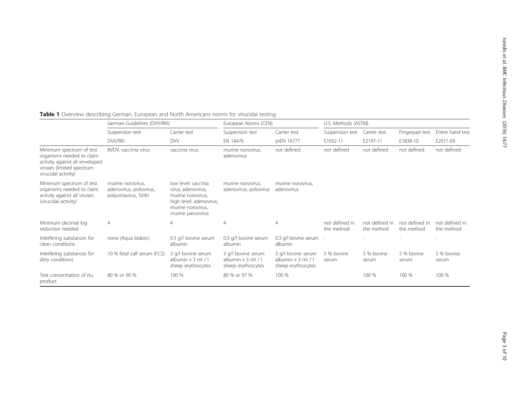|                                                                                                                                             | German Guidelines (DW/RKI)                                         |                                                                                                                                     | European Norms (CEN)                                             |                                                                  | U.S. Methods (ASTM)          |                              |                              |                              |
|---------------------------------------------------------------------------------------------------------------------------------------------|--------------------------------------------------------------------|-------------------------------------------------------------------------------------------------------------------------------------|------------------------------------------------------------------|------------------------------------------------------------------|------------------------------|------------------------------|------------------------------|------------------------------|
|                                                                                                                                             | Suspension test                                                    | Carrier test                                                                                                                        | Suspension test                                                  | Carrier test                                                     | Suspension test              | Carrier test                 | Fingerpad test<br>E1838-10   | Entire hand test<br>E2011-09 |
|                                                                                                                                             | <b>DW/RKI</b>                                                      | <b>DW</b>                                                                                                                           | FN 14476                                                         | prEN 16777                                                       | E1052-11                     | E2197-11                     |                              |                              |
| Minimum spectrum of test<br>organisms needed to claim<br>activity against all enveloped<br>viruses (limited spectrum<br>virucidal activity) | BVDV, vaccinia virus                                               | vaccinia virus                                                                                                                      | murine norovirus.<br>adenovirus                                  | not defined                                                      | not defined                  | not defined                  | not defined                  | not defined                  |
| Minimum spectrum of test<br>organisms needed to claim<br>activity against all viruses<br>(virucidal activity)                               | murine norovirus.<br>adenovirus, poliovirus,<br>polyomavirus, SV40 | low level: vaccinia<br>virus, adenovirus,<br>murine norovirus.<br>high level: adenovirus,<br>murine norovirus.<br>murine parvovirus | murine norovirus.<br>adenovirus, poliovirus                      | murine norovirus,<br>adenovirus                                  |                              |                              |                              |                              |
| Minimum decimal log<br>reduction needed                                                                                                     | $\overline{4}$                                                     | $\overline{4}$                                                                                                                      | $\overline{4}$                                                   | $\overline{4}$                                                   | not defined in<br>the method | not defined in<br>the method | not defined in<br>the method | not defined in<br>the method |
| Interfering substances for<br>clean conditions                                                                                              | none (Aqua bidest.)                                                | 0.3 g/l bovine serum<br>albumin                                                                                                     | 0.3 g/l bovine serum<br>albumin                                  | 0.3 g/l bovine serum<br>albumin                                  | $\overline{\phantom{a}}$     |                              |                              |                              |
| Interfering substances for<br>dirty conditions                                                                                              | 10 % fetal calf serum (FCS)                                        | 3 g/l bovine serum<br>albumin + 3 ml / $\vert$<br>sheep erythrocytes                                                                | 3 g/l bovine serum<br>albumin + $3$ ml / l<br>sheep erythrocytes | 3 g/l bovine serum<br>albumin + $3$ ml / l<br>sheep erythrocytes | 5 % bovine<br>serum          | 5 % bovine<br>serum          | 5 % bovine<br>serum          | 5 % bovine<br>serum          |
| Test concentration of rtu<br>product                                                                                                        | 80 % or 90 %                                                       | 100 %                                                                                                                               | 80 % or 97 %                                                     | 100 %                                                            |                              | 100 %                        | 100 %                        | 100 %                        |

## <span id="page-2-0"></span>Table 1 Overview describing German, European and North Americans norms for virucidal testing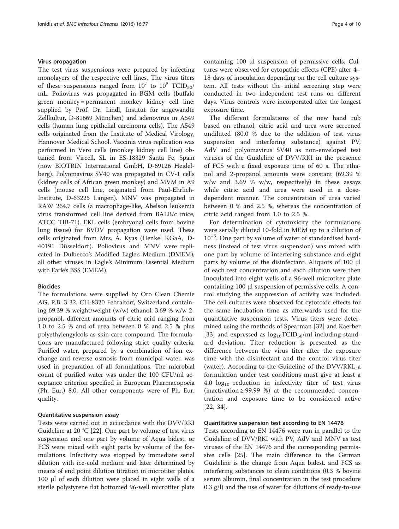## Virus propagation

The test virus suspensions were prepared by infecting monolayers of the respective cell lines. The virus titers of these suspensions ranged from  $10^7$  to  $10^9$  TCID<sub>50</sub>/ mL. Poliovirus was propagated in BGM cells (buffalo green monkey = permanent monkey kidney cell line; supplied by Prof. Dr. Lindl, Institut für angewandte Zellkultur, D-81669 München) and adenovirus in A549 cells (human lung epithelial carcinoma cells). The A549 cells originated from the Institute of Medical Virology, Hannover Medical School. Vaccinia virus replication was performed in Vero cells (monkey kidney cell line) obtained from Vircell, SL in ES-18329 Santa Fe, Spain (now BIOTRIN International GmbH, D-69126 Heidelberg). Polyomavirus SV40 was propagated in CV-1 cells (kidney cells of African green monkey) and MVM in A9 cells (mouse cell line, originated from Paul-Ehrlich-Institute, D-63225 Langen). MNV was propagated in RAW 264.7 cells (a macrophage-like, Abelson leukemia virus transformed cell line derived from BALB/c mice, ATCC TIB-71). EKL cells (embryonal cells from bovine lung tissue) for BVDV propagation were used. These cells originated from Mrs. A. Kyas (Henkel KGaA, D-40191 Düsseldorf). Poliovirus and MNV were replicated in Dulbecco's Modified Eagle's Medium (DMEM), all other viruses in Eagle's Minimum Essential Medium with Earle's BSS (EMEM).

## Biocides

The formulations were supplied by Oro Clean Chemie AG, P.B. 3 32, CH-8320 Fehraltorf, Switzerland containing 69.39 % weight/weight (w/w) ethanol, 3.69 % w/w 2 propanol, different amounts of citric acid ranging from 1.0 to 2.5 % and of urea between 0 % and 2.5 % plus polyethylengylcols as skin care compound. The formulations are manufactured following strict quality criteria. Purified water, prepared by a combination of ion exchange and reverse osmosis from municipal water, was used in preparation of all formulations. The microbial count of purified water was under the 100 CFU/ml acceptance criterion specified in European Pharmacopoeia (Ph. Eur.) 8.0. All other components were of Ph. Eur. quality.

#### Quantitative suspension assay

Tests were carried out in accordance with the DVV/RKI Guideline at 20  $°C$  [\[22](#page-9-0)]. One part by volume of test virus suspension and one part by volume of Aqua bidest. or FCS were mixed with eight parts by volume of the formulations. Infectivity was stopped by immediate serial dilution with ice-cold medium and later determined by means of end point dilution titration in microtiter plates. 100 μl of each dilution were placed in eight wells of a sterile polystyrene flat bottomed 96-well microtiter plate containing 100 μl suspension of permissive cells. Cultures were observed for cytopathic effects (CPE) after 4– 18 days of inoculation depending on the cell culture system. All tests without the initial screening step were conducted in two independent test runs on different days. Virus controls were incorporated after the longest exposure time.

The different formulations of the new hand rub based on ethanol, citric acid and urea were screened undiluted (80.0 % due to the addition of test virus suspension and interfering substance) against PV, AdV and polyomavirus SV40 as non-enveloped test viruses of the Guideline of DVV/RKI in the presence of FCS with a fixed exposure time of 60 s. The ethanol and 2-propanol amounts were constant (69.39 % w/w and 3.69 % w/w, respectively) in these assays while citric acid and urea were used in a dosedependent manner. The concentration of urea varied between 0 % and 2.5 %, whereas the concentration of citric acid ranged from 1.0 to 2.5 %.

For determination of cytotoxicity the formulations were serially diluted 10-fold in MEM up to a dilution of 10−<sup>5</sup> . One part by volume of water of standardised hardness (instead of test virus suspension) was mixed with one part by volume of interfering substance and eight parts by volume of the disinfectant. Aliquots of 100 μl of each test concentration and each dilution were then inoculated into eight wells of a 96-well microtiter plate containing 100 μl suspension of permissive cells. A control studying the suppression of activity was included. The cell cultures were observed for cytotoxic effects for the same incubation time as afterwards used for the quantitative suspension tests. Virus titers were determined using the methods of Spearman [[32\]](#page-9-0) and Kaerber [[33\]](#page-9-0) and expressed as  $log_{10}TCID_{50}/ml$  including standard deviation. Titer reduction is presented as the difference between the virus titer after the exposure time with the disinfectant and the control virus titer (water). According to the Guideline of the DVV/RKI, a formulation under test conditions must give at least a  $4.0 \text{ log}_{10}$  reduction in infectivity titer of test virus (inactivation  $\geq$  99.99 %) at the recommended concentration and exposure time to be considered active [[22, 34](#page-9-0)].

#### Quantitative suspension test according to EN 14476

Tests according to EN 14476 were run in parallel to the Guideline of DVV/RKI with PV, AdV and MNV as test viruses of the EN 14476 and the corresponding permissive cells [[25\]](#page-9-0). The main difference to the German Guideline is the change from Aqua bidest. and FCS as interfering substances to clean conditions (0.3 % bovine serum albumin, final concentration in the test procedure 0.3 g/l) and the use of water for dilutions of ready-to-use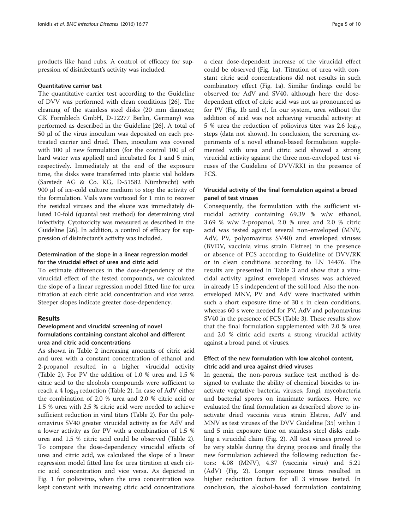products like hand rubs. A control of efficacy for suppression of disinfectant's activity was included.

#### Quantitative carrier test

The quantitative carrier test according to the Guideline of DVV was performed with clean conditions [\[26](#page-9-0)]. The cleaning of the stainless steel disks (20 mm diameter, GK Formblech GmbH, D-12277 Berlin, Germany) was performed as described in the Guideline [\[26](#page-9-0)]. A total of 50 μl of the virus inoculum was deposited on each pretreated carrier and dried. Then, inoculum was covered with 100 μl new formulation (for the control 100 μl of hard water was applied) and incubated for 1 and 5 min, respectively. Immediately at the end of the exposure time, the disks were transferred into plastic vial holders (Sarstedt AG & Co. KG, D-51582 Nümbrecht) with 900 μl of ice-cold culture medium to stop the activity of the formulation. Vials were vortexed for 1 min to recover the residual viruses and the eluate was immediately diluted 10-fold (quantal test method) for determining viral infectivity. Cytotoxicity was measured as described in the Guideline [\[26](#page-9-0)]. In addition, a control of efficacy for suppression of disinfectant's activity was included.

## Determination of the slope in a linear regression model for the virucidal effect of urea and citric acid

To estimate differences in the dose-dependency of the virucidal effect of the tested compounds, we calculated the slope of a linear regression model fitted line for urea titration at each citric acid concentration and vice versa. Steeper slopes indicate greater dose-dependency.

#### Results

## Development and virucidal screening of novel formulations containing constant alcohol and different urea and citric acid concentrations

As shown in Table [2](#page-5-0) increasing amounts of citric acid and urea with a constant concentration of ethanol and 2-propanol resulted in a higher virucidal activity (Table [2\)](#page-5-0). For PV the addition of 1.0 % urea and 1.5 % citric acid to the alcohols compounds were sufficient to reach a 4  $log_{10}$  reduction (Table [2\)](#page-5-0). In case of AdV either the combination of 2.0 % urea and 2.0 % citric acid or 1.5 % urea with 2.5 % citric acid were needed to achieve sufficient reduction in viral titers (Table [2](#page-5-0)). For the polyomavirus SV40 greater virucidal activity as for AdV and a lower activity as for PV with a combination of 1.5 % urea and 1.5 % citric acid could be observed (Table [2](#page-5-0)). To compare the dose-dependency virucidal effects of urea and citric acid, we calculated the slope of a linear regression model fitted line for urea titration at each citric acid concentration and vice versa. As depicted in Fig. [1](#page-5-0) for poliovirus, when the urea concentration was kept constant with increasing citric acid concentrations a clear dose-dependent increase of the virucidal effect could be observed (Fig. [1a\)](#page-5-0). Titration of urea with constant citric acid concentrations did not results in such combinatory effect (Fig. [1a](#page-5-0)). Similar findings could be observed for AdV and SV40, although here the dosedependent effect of citric acid was not as pronounced as for PV (Fig. [1b](#page-5-0) and c). In our system, urea without the addition of acid was not achieving virucidal activity: at 5 % urea the reduction of poliovirus titer was 2.6  $log_{10}$ steps (data not shown). In conclusion, the screening experiments of a novel ethanol-based formulation supplemented with urea and citric acid showed a strong virucidal activity against the three non-enveloped test viruses of the Guideline of DVV/RKI in the presence of FCS.

## Virucidal activity of the final formulation against a broad panel of test viruses

Consequently, the formulation with the sufficient virucidal activity containing 69.39 % w/w ethanol, 3.69 % w/w 2-propanol, 2.0 % urea and 2.0 % citric acid was tested against several non-enveloped (MNV, AdV, PV, polyomavirus SV40) and enveloped viruses (BVDV, vaccinia virus strain Elstree) in the presence or absence of FCS according to Guideline of DVV/RK or in clean conditions according to EN 14476. The results are presented in Table [3](#page-6-0) and show that a virucidal activity against enveloped viruses was achieved in already 15 s independent of the soil load. Also the nonenveloped MNV, PV and AdV were inactivated within such a short exposure time of 30 s in clean conditions, whereas 60 s were needed for PV, AdV and polyomavirus SV40 in the presence of FCS (Table [3](#page-6-0)). These results show that the final formulation supplemented with 2.0 % urea and 2.0 % citric acid exerts a strong virucidal activity against a broad panel of viruses.

## Effect of the new formulation with low alcohol content, citric acid and urea against dried viruses

In general, the non-porous surface test method is designed to evaluate the ability of chemical biocides to inactivate vegetative bacteria, viruses, fungi, mycobacteria and bacterial spores on inanimate surfaces. Here, we evaluated the final formulation as described above to inactivate dried vaccinia virus strain Elstree, AdV and MNV as test viruses of the DVV Guideline [\[35](#page-9-0)] within 1 and 5 min exposure time on stainless steel disks enabling a virucidal claim (Fig. [2](#page-6-0)). All test viruses proved to be very stable during the drying process and finally the new formulation achieved the following reduction factors: 4.08 (MNV), 4.37 (vaccinia virus) and 5.21 (AdV) (Fig. [2\)](#page-6-0). Longer exposure times resulted in higher reduction factors for all 3 viruses tested. In conclusion, the alcohol-based formulation containing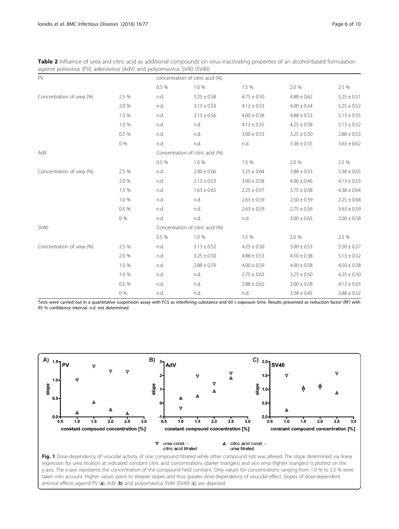<span id="page-5-0"></span>Table 2 Influence of urea and citric acid as additional compounds on virus-inactivating properties of an alcohol-based formulation against poliovirus (PV), adenovirus (AdV) and polyomavirus SV40 (SV40)

| PV                        |       |       | concentration of citric acid (%) |                 |                 |                 |  |  |  |
|---------------------------|-------|-------|----------------------------------|-----------------|-----------------|-----------------|--|--|--|
|                           |       | 0.5 % | 1.0%                             | 1.5 %           | 2.0 %           | 2.5 %           |  |  |  |
| Concentration of urea (%) | 2.5 % | n.d.  | $3.25 \pm 0.58$                  | $4.75 \pm 0.50$ | $4.88 \pm 0.62$ | $5.25 \pm 0.51$ |  |  |  |
|                           | 2.0 % | n.d.  | $3.13 \pm 0.53$                  | $4.13 \pm 0.53$ | $4.00 \pm 0.54$ | $5.25 \pm 0.52$ |  |  |  |
|                           | 1.5 % | n.d.  | $3.13 \pm 0.56$                  | $4.00 \pm 0.58$ | $4.88 \pm 0.53$ | $5.13 \pm 0.55$ |  |  |  |
|                           | 1.0 % | n.d.  | n.d.                             | $4.13 \pm 0.55$ | $4.25 \pm 0.58$ | $5.13 \pm 0.52$ |  |  |  |
|                           | 0.5 % | n.d.  | n.d.                             | $3.00 \pm 0.53$ | $3.25 \pm 0.50$ | $2.88 \pm 0.53$ |  |  |  |
|                           | 0%    | n.d.  | n.d.                             | n.d.            | $3.38 \pm 0.55$ | $3.63 \pm 0.62$ |  |  |  |
| AdV                       |       |       | Concentration of citric acid (%) |                 |                 |                 |  |  |  |
|                           |       | 0.5 % | 1.0%                             | 1.5 %           | 2.0 %           | 2.5 %           |  |  |  |
| Concentration of urea (%) | 2.5 % | n.d.  | $2.00 \pm 0.66$                  | $3.25 \pm 0.64$ | $3.88 \pm 0.53$ | $5.38 \pm 0.65$ |  |  |  |
|                           | 2.0 % | n.d.  | $2.13 \pm 0.53$                  | $3.00 \pm 0.58$ | $4.00 \pm 0.46$ | $4.13 \pm 0.53$ |  |  |  |
|                           | 1.5 % | n.d.  | $1.63 \pm 0.65$                  | $2.25 \pm 0.57$ | $3.75 \pm 0.58$ | $4.38 \pm 0.64$ |  |  |  |
|                           | 1.0%  | n.d.  | n.d.                             | $2.63 \pm 0.59$ | $2.50 \pm 0.59$ | $2.25 \pm 0.68$ |  |  |  |
|                           | 0.5 % | n.d.  | n.d.                             | $2.63 \pm 0.59$ | $2.75 \pm 0.56$ | $3.63 \pm 0.59$ |  |  |  |
|                           | 0%    | n.d.  | n.d.                             | n.d.            | $3.00 \pm 0.65$ | $3.00 \pm 0.58$ |  |  |  |
| <b>SV40</b>               |       |       | Concentration of citric acid (%) |                 |                 |                 |  |  |  |
|                           |       | 0.5 % | 1.0 %                            | 1.5 %           | 2.0 %           | 2.5 %           |  |  |  |
| Concentration of urea (%) | 2.5 % | n.d.  | $3.13 \pm 0.52$                  | $4.25 \pm 0.50$ | $5.00 \pm 0.53$ | $5.50 \pm 0.27$ |  |  |  |
|                           | 2.0 % | n.d.  | $3.25 \pm 0.50$                  | $4.88 \pm 0.53$ | $4.50 \pm 0.38$ | $5.13\pm0.52$   |  |  |  |
|                           | 1.5 % | n.d.  | $2.88 \pm 0.59$                  | $4.00 \pm 0.59$ | $4.00 \pm 0.58$ | $4.50 \pm 0.38$ |  |  |  |
|                           | 1.0 % | n.d.  | n.d.                             | $2.75 \pm 0.63$ | $3.25 \pm 0.50$ | $4.25 \pm 0.50$ |  |  |  |
|                           | 0.5 % | n.d.  | n.d.                             | $2.88 \pm 0.62$ | $3.00 \pm 0.58$ | $4.13 \pm 0.55$ |  |  |  |
|                           | 0%    | n.d.  | n.d.                             | n.d.            | $3.38 \pm 0.45$ | $3.88 \pm 0.52$ |  |  |  |

Tests were carried out in a quantitative suspension assay with FCS as interfering substance and 60 s exposure time. Results presented as reduction factor (RF) with 95 % confidence interval. n.d. not determined



Fig. 1 Dose-dependency of virucidal activity of one compound titrated while other compound not was altered. The slope determined via linear regression for urea titration at indicated constant citric acid concentrations (darker triangles) and vice versa (lighter triangles) is plotted on the y-axis. The x-axis represents the concentration of the compound held constant. Only values for concentrations ranging from 1.0 % to 2.5 % were taken into account. Higher values point to steeper slopes and thus greater dose-dependency of virucidal effect. Slopes of dose-dependent antiviral effects against PV (a), AdV (b) and polyomavirus SV40 (SV40) (c) are depicted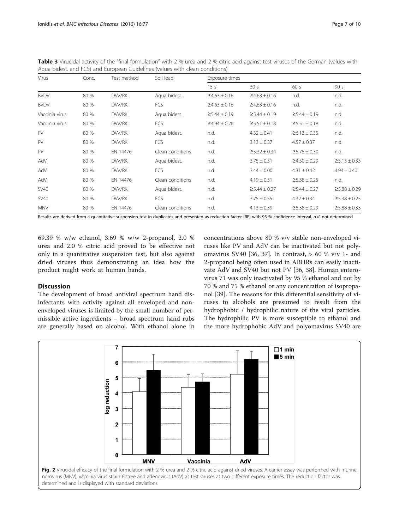|                |       |               | Aqua bidest. and FCS) and European Guidelines (values with clean conditions) |                    |                        |                        |                        |  |  |
|----------------|-------|---------------|------------------------------------------------------------------------------|--------------------|------------------------|------------------------|------------------------|--|--|
| Virus          | Conc. | Test method   | Soil load                                                                    | Exposure times     |                        |                        |                        |  |  |
|                |       |               |                                                                              | 15 <sub>s</sub>    | 30 <sub>s</sub>        | 60s                    | 90 <sub>s</sub>        |  |  |
| <b>BVDV</b>    | 80 %  | <b>DW/RKI</b> | Aqua bidest.                                                                 | $\geq$ 4.63 ± 0.16 | $\geq$ 4.63 ± 0.16     | n.d.                   | n.d.                   |  |  |
| <b>BVDV</b>    | 80 %  | <b>DW/RKI</b> | FCS                                                                          | $\geq$ 4.63 ± 0.16 | $\geq$ 4.63 ± 0.16     | n.d.                   | n.d.                   |  |  |
| Vaccinia virus | 80 %  | <b>DW/RKI</b> | Aqua bidest.                                                                 | $\geq$ 5.44 ± 0.19 | $\geq$ 5.44 ± 0.19     | $\geq$ 5.44 ± 0.19     | n.d.                   |  |  |
| Vaccinia virus | 80 %  | <b>DW/RKI</b> | FCS                                                                          | $\geq$ 4.94 ± 0.26 | $\geq$ 5.51 $\pm$ 0.18 | $\geq 5.51 \pm 0.18$   | n.d.                   |  |  |
| PV             | 80 %  | <b>DW/RKI</b> | Aqua bidest.                                                                 | n.d.               | $4.32 \pm 0.41$        | $\geq$ 6.13 $\pm$ 0.35 | n.d.                   |  |  |
| PV             | 80 %  | <b>DW/RKI</b> | FCS                                                                          | n.d.               | $3.13 \pm 0.37$        | $4.57 \pm 0.37$        | n.d.                   |  |  |
| PV             | 80 %  | EN 14476      | Clean conditions                                                             | n.d.               | $\geq$ 5.32 ± 0.34     | $\geq$ 5.75 $\pm$ 0.30 | n.d.                   |  |  |
| AdV            | 80 %  | <b>DW/RKI</b> | Aqua bidest.                                                                 | n.d.               | $3.75 \pm 0.31$        | $\geq$ 4.50 ± 0.29     | $\geq$ 5.13 ± 0.33     |  |  |
| AdV            | 80 %  | <b>DW/RKI</b> | FCS                                                                          | n.d.               | $3.44 \pm 0.00$        | $4.31 \pm 0.42$        | $4.94 \pm 0.40$        |  |  |
| AdV            | 80 %  | EN 14476      | Clean conditions                                                             | n.d.               | $4.19 \pm 0.31$        | $\geq$ 5.38 ± 0.25     | n.d.                   |  |  |
| <b>SV40</b>    | 80 %  | <b>DW/RKI</b> | Aqua bidest.                                                                 | n.d.               | $\geq$ 5.44 ± 0.27     | $\geq$ 5.44 ± 0.27     | $25.88 \pm 0.29$       |  |  |
| <b>SV40</b>    | 80 %  | <b>DW/RKI</b> | FCS                                                                          | n.d.               | $3.75 \pm 0.55$        | $4.32 \pm 0.34$        | $25.38 \pm 0.25$       |  |  |
| <b>MNV</b>     | 80 %  | EN 14476      | Clean conditions                                                             | n.d.               | $4.13 \pm 0.39$        | $\geq$ 5.38 ± 0.29     | $\geq$ 5.88 $\pm$ 0.33 |  |  |

<span id="page-6-0"></span>Table 3 Virucidal activity of the "final formulation" with 2 % urea and 2 % citric acid against test viruses of the German (values with Aqua bidest. and FCS) and European Guidelines (values with clean conditions)

Results are derived from a quantitative suspension test in duplicates and presented as reduction factor (RF) with 95 % confidence interval. n.d. not determined

69.39 % w/w ethanol, 3.69 % w/w 2-propanol, 2.0 % urea and 2.0 % citric acid proved to be effective not only in a quantitative suspension test, but also against dried viruses thus demonstrating an idea how the product might work at human hands.

## Discussion

The development of broad antiviral spectrum hand disinfectants with activity against all enveloped and nonenveloped viruses is limited by the small number of permissible active ingredients – broad spectrum hand rubs are generally based on alcohol. With ethanol alone in concentrations above 80 % v/v stable non-enveloped viruses like PV and AdV can be inactivated but not poly-omavirus SV40 [[36](#page-9-0), [37](#page-9-0)]. In contrast,  $> 60 \%$  v/v 1- and 2-propanol being often used in ABHRs can easily inactivate AdV and SV40 but not PV [\[36](#page-9-0), [38](#page-9-0)]. Human enterovirus 71 was only inactivated by 95 % ethanol and not by 70 % and 75 % ethanol or any concentration of isopropanol [[39\]](#page-9-0). The reasons for this differential sensitivity of viruses to alcohols are presumed to result from the hydrophobic / hydrophilic nature of the viral particles. The hydrophilic PV is more susceptible to ethanol and the more hydrophobic AdV and polyomavirus SV40 are

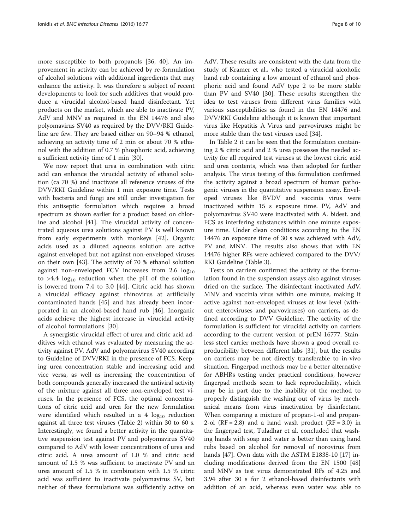more susceptible to both propanols [\[36](#page-9-0), [40\]](#page-9-0). An improvement in activity can be achieved by re-formulation of alcohol solutions with additional ingredients that may enhance the activity. It was therefore a subject of recent developments to look for such additives that would produce a virucidal alcohol-based hand disinfectant. Yet products on the market, which are able to inactivate PV, AdV and MNV as required in the EN 14476 and also polyomavirus SV40 as required by the DVV/RKI Guideline are few. They are based either on 90–94 % ethanol, achieving an activity time of 2 min or about 70 % ethanol with the addition of 0.7 % phosphoric acid, achieving a sufficient activity time of 1 min [[30\]](#page-9-0).

We now report that urea in combination with citric acid can enhance the virucidal activity of ethanol solution (ca 70 %) and inactivate all reference viruses of the DVV/RKI Guideline within 1 min exposure time. Tests with bacteria and fungi are still under investigation for this antiseptic formulation which requires a broad spectrum as shown earlier for a product based on chlorine and alcohol [[41\]](#page-9-0). The virucidal activity of concentrated aqueous urea solutions against PV is well known from early experiments with monkeys [\[42\]](#page-9-0). Organic acids used as a diluted aqueous solution are active against enveloped but not against non-enveloped viruses on their own [\[43](#page-9-0)]. The activity of 70 % ethanol solution against non-enveloped FCV increases from  $2.6 \log_{10}$ to >4.4  $log_{10}$  reduction when the pH of the solution is lowered from 7.4 to 3.0 [\[44](#page-9-0)]. Citric acid has shown a virucidal efficacy against rhinovirus at artificially contaminated hands [[45\]](#page-9-0) and has already been incorporated in an alcohol-based hand rub [[46\]](#page-9-0). Inorganic acids achieve the highest increase in virucidal activity of alcohol formulations [\[30](#page-9-0)].

A synergistic virucidal effect of urea and citric acid additives with ethanol was evaluated by measuring the activity against PV, AdV and polyomavirus SV40 according to Guideline of DVV/RKI in the presence of FCS. Keeping urea concentration stable and increasing acid and vice versa, as well as increasing the concentration of both compounds generally increased the antiviral activity of the mixture against all three non-enveloped test viruses. In the presence of FCS, the optimal concentrations of citric acid and urea for the new formulation were identified which resulted in a 4  $log_{10}$  reduction against all three test viruses (Table [2\)](#page-5-0) within 30 to 60 s. Interestingly, we found a better activity in the quantitative suspension test against PV and polyomavirus SV40 compared to AdV with lower concentrations of urea and citric acid. A urea amount of 1.0 % and citric acid amount of 1.5 % was sufficient to inactivate PV and an urea amount of 1.5 % in combination with 1.5 % citric acid was sufficient to inactivate polyomavirus SV, but neither of these formulations was sufficiently active on AdV. These results are consistent with the data from the study of Kramer et al., who tested a virucidal alcoholic hand rub containing a low amount of ethanol and phosphoric acid and found AdV type 2 to be more stable than PV and SV40 [\[30](#page-9-0)]. These results strengthen the idea to test viruses from different virus families with various susceptibilities as found in the EN 14476 and DVV/RKI Guideline although it is known that important virus like Hepatitis A Virus and parvoviruses might be more stable than the test viruses used [[34\]](#page-9-0).

In Table [2](#page-5-0) it can be seen that the formulation containing 2 % citric acid and 2 % urea possesses the needed activity for all required test viruses at the lowest citric acid and urea contents, which was then adopted for further analysis. The virus testing of this formulation confirmed the activity against a broad spectrum of human pathogenic viruses in the quantitative suspension assay. Enveloped viruses like BVDV and vaccinia virus were inactivated within 15 s exposure time. PV, AdV and polyomavirus SV40 were inactivated with A. bidest. and FCS as interfering substances within one minute exposure time. Under clean conditions according to the EN 14476 an exposure time of 30 s was achieved with AdV, PV and MNV. The results also shows that with EN 14476 higher RFs were achieved compared to the DVV/ RKI Guideline (Table [3](#page-6-0)).

Tests on carriers confirmed the activity of the formulation found in the suspension assays also against viruses dried on the surface. The disinfectant inactivated AdV, MNV and vaccinia virus within one minute, making it active against non-enveloped viruses at low level (without enteroviruses and parvoviruses) on carriers, as defined according to DVV Guideline. The activity of the formulation is sufficient for virucidal activity on carriers according to the current version of prEN 16777. Stainless steel carrier methods have shown a good overall reproducibility between different labs [[31\]](#page-9-0), but the results on carriers may be not directly transferable to in-vivo situation. Fingerpad methods may be a better alternative for ABHRs testing under practical conditions, however fingerpad methods seem to lack reproducibility, which may be in part due to the inability of the method to properly distinguish the washing out of virus by mechanical means from virus inactivation by disinfectant. When comparing a mixture of propan-1-ol and propan-2-ol  $(RF = 2.8)$  and a hand wash product  $(RF = 3.0)$  in the fingerpad test, Tuladhar et al. concluded that washing hands with soap and water is better than using hand rubs based on alcohol for removal of norovirus from hands [\[47](#page-9-0)]. Own data with the ASTM E1838-10 [[17\]](#page-8-0) including modifications derived from the EN 1500 [[48](#page-9-0)] and MNV as test virus demonstrated RFs of 4.25 and 3.94 after 30 s for 2 ethanol-based disinfectants with addition of an acid, whereas even water was able to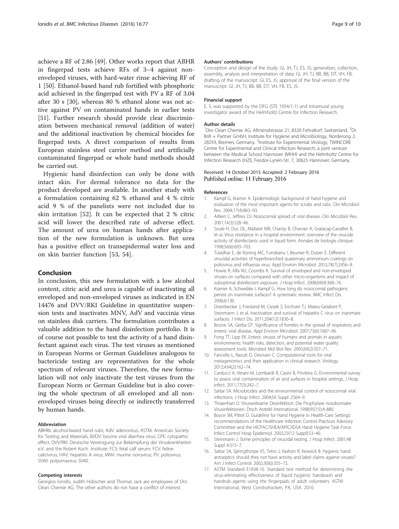<span id="page-8-0"></span>achieve a RF of 2.86 [[49](#page-9-0)]. Other works report that ABHR in fingerpad tests achieve RFs of 3–4 against nonenveloped viruses, with hard-water rinse achieving RF of 1 [[50\]](#page-9-0). Ethanol-based hand rub fortified with phosphoric acid achieved in the fingerpad test with PV a RF of 3.04 after 30 s [[30\]](#page-9-0), whereas 80 % ethanol alone was not active against PV on contaminated hands in earlier tests [[51\]](#page-9-0). Further research should provide clear discrimination between mechanical removal (addition of water) and the additional inactivation by chemical biocides for fingerpad tests. A direct comparison of results from European stainless steel carrier method and artificially contaminated fingerpad or whole hand methods should be carried out.

Hygienic hand disinfection can only be done with intact skin. For dermal tolerance no data for the product developed are available. In another study with a formulation containing 62 % ethanol and 4 % citric acid 9 % of the panelists were not included due to skin irritation [[52\]](#page-9-0). It can be expected that 2 % citric acid will lower the described rate of adverse effect. The amount of urea on human hands after application of the new formulation is unknown. But urea has a positive effect on transepidermal water loss and on skin barrier function [[53](#page-9-0), [54\]](#page-9-0).

### Conclusion

In conclusion, this new formulation with a low alcohol content, citric acid and urea is capable of inactivating all enveloped and non-enveloped viruses as indicated in EN 14476 and DVV/RKI Guideline in quantitative suspension tests and inactivates MNV, AdV and vaccinia virus on stainless disk carriers. The formulation contributes a valuable addition to the hand disinfection portfolio. It is of course not possible to test the activity of a hand disinfectant against each virus. The test viruses as mentioned in European Norms or German Guidelines analogous to bactericide testing are representatives for the whole spectrum of relevant viruses. Therefore, the new formulation will not only inactivate the test viruses from the European Norm or German Guideline but is also covering the whole spectrum of all enveloped and all nonenveloped viruses being directly or indirectly transferred by human hands.

#### Abbreviation

ABHRs: alcohol-based hand rubs; AdV: adenovirus; ASTM: American Society for Testing and Materials; BVDV: bovine viral diarrhea virus; CPE: cytopathic effect; DVV/RKI: Deutsche Vereinigung zur Bekämpfung der Viruskrankheiten e.V. and the Robert Koch -Institute; FCS: fetal calf serum; FCV: feline calicivirus; HAV: hepatitis A virus; MNV: murine norovirus; PV: poliovirus; SV40: polyomavirus SV40.

#### Competing interests

Georgios Ionidis, Judith Hübscher and Thomas Jack are employees of Oro Clean Chemie AG. The other authors do not have a conflict of interest.

#### Authors' contributions

Conception and design of the study: GI, JH, TJ, ES, JS; generation, collection, assembly, analysis and interpretation of data: GI, JH, TJ, BB, BB, DT, VH, FB; drafting of the manuscript: GI, ES, JS; approval of the final version of the manuscript: GI, JH, TJ, BB, BB, DT, VH, FB, ES, JS.

#### Financial support

E. S. was supported by the DFG (STE 1954/1-1) and intramural young investigator award of the Helmholtz Centre for Infection Research.

#### Author details

<sup>1</sup>Oro Clean Chemie AG, Allmendstrasse 21, 8320 Fehraltorf, Switzerland. <sup>2</sup>Dr. Brill + Partner GmbH, Institute for Hygiene and Microbiology, Norderoog 2, 28259, Bremen, Germany. <sup>3</sup>Institute for Experimental Virology, TWINCORE Centre for Experimental and Clinical Infection Research; a joint venture between the Medical School Hannover (MHH) and the Helmholtz Centre for Infection Research (HZI), Feodor-Lynen-Str. 7, 30625 Hannover, Germany.

#### Received: 14 October 2015 Accepted: 2 February 2016 Published online: 11 February 2016

#### References

- 1. Kampf G, Kramer A. Epidemiologic background of hand hygiene and evaluation of the most important agents for scrubs and rubs. Clin Microbiol Rev. 2004;17(4):863–93.
- 2. Aitken C, Jeffries DJ. Nosocomial spread of viral disease. Clin Microbiol Rev. 2001;14(3):528–46.
- 3. Soule H, Duc DL, Mallaret MR, Chanzy B, Charvier A, Gratacap-Cavallier B, et al. Virus resistance in a hospital environment: overview of the virucide activity of disinfectants used in liquid form. Annales de biologie clinique. 1998;56(6):693–703.
- 4. Tuladhar E, de Koning MC, Fundeanu I, Beumer R, Duizer E. Different virucidal activities of hyperbranched quaternary ammonium coatings on poliovirus and influenza virus. Appl Environ Microbiol. 2012;78(7):2456–8.
- 5. Howie R, Alfa MJ, Coombs K. Survival of enveloped and non-enveloped viruses on surfaces compared with other micro-organisms and impact of suboptimal disinfectant exposure. J Hosp Infect. 2008;69(4):368–76.
- 6. Kramer A, Schwebke I, Kampf G. How long do nosocomial pathogens persist on inanimate surfaces? A systematic review. BMC Infect Dis. 2006;6:130.
- 7. Doerrbecker J, Friesland M, Ciesek S, Erichsen TJ, Mateu-Gelabert P, Steinmann J, et al. Inactivation and survival of hepatitis C virus on inanimate surfaces. J Infect Dis. 2011;204(12):1830–8.
- 8. Boone SA, Gerba CP. Significance of fomites in the spread of respiratory and enteric viral disease. Appl Environ Microbiol. 2007;73(6):1687–96.
- 9. Fong TT, Lipp EK. Enteric viruses of humans and animals in aquatic environments: health risks, detection, and potential water quality assessment tools. Microbiol Mol Biol Rev. 2005;69(2):357–71.
- 10. Fancello L, Raoult D, Desnues C. Computational tools for viral metagenomics and their application in clinical research. Virology. 2012;434(2):162–74.
- 11. Carducci A, Verani M, Lombardi R, Casini B, Privitera G. Environmental survey to assess viral contamination of air and surfaces in hospital settings. J Hosp Infect. 2011;77(3):242–7.
- 12. Sattar SA. Microbicides and the environmental control of nosocomial viral infections. J Hosp Infect. 2004;56 Suppl 2:S64–9.
- 13. Thraenhart O. Viruswirksame Desinfektion: Die Prophylaxe nosokomialer Virusinfektionen. Dtsch Arztebl International. 1998;95(15):A-880.
- 14. Boyce JM, Pittet D. Guideline for Hand Hygiene in Health-Care Settings: recommendations of the Healthcare Infection Control Practices Advisory Committee and the HICPAC/SHEA/APIC/IDSA Hand Hygiene Task Force. Infect Control Hosp Epidemiol. 2002;23(12 Suppl):S3–40.
- 15. Steinmann J. Some principles of virucidal testing. J Hosp Infect. 2001;48 Suppl A:S15–7.
- 16. Sattar SA, Springthorpe VS, Tetro J, Vashon R, Keswick B. Hygienic hand antiseptics: should they not have activity and label claims against viruses? Am J Infect Control. 2002;30(6):355–72.
- 17. ASTM Standard E1838-10. Standard test method for determining the virus-eliminating effectiveness of liquid hygienic handwash and handrub agents using the fingerpads of adult volunteers. ASTM International, West Conshohocken, PA, USA. 2010.